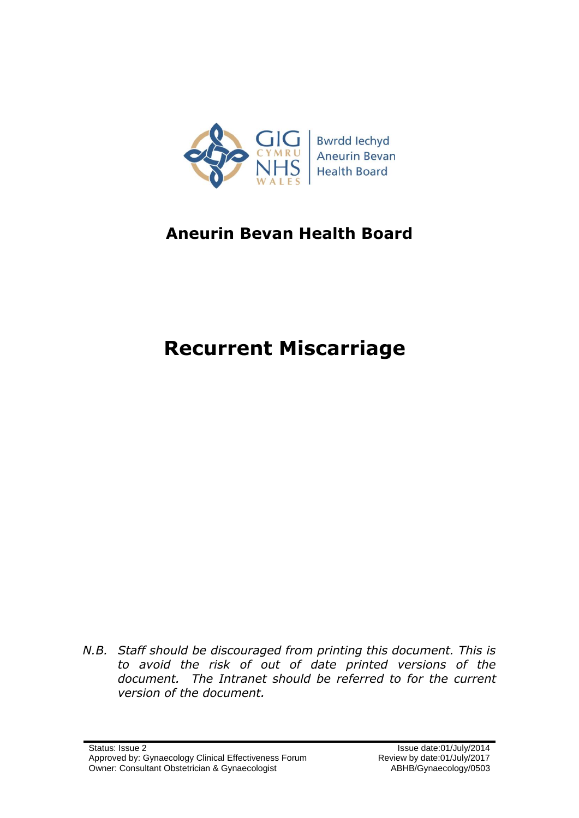

# **Aneurin Bevan Health Board**

# **Recurrent Miscarriage**

*N.B. Staff should be discouraged from printing this document. This is to avoid the risk of out of date printed versions of the document. The Intranet should be referred to for the current version of the document.*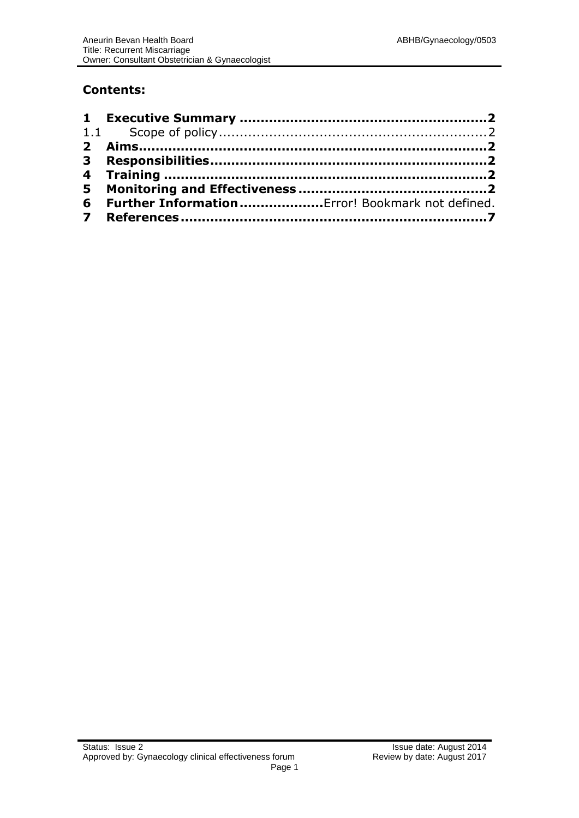### **Contents:**

| 6 Further Information Error! Bookmark not defined. |  |
|----------------------------------------------------|--|
|                                                    |  |
|                                                    |  |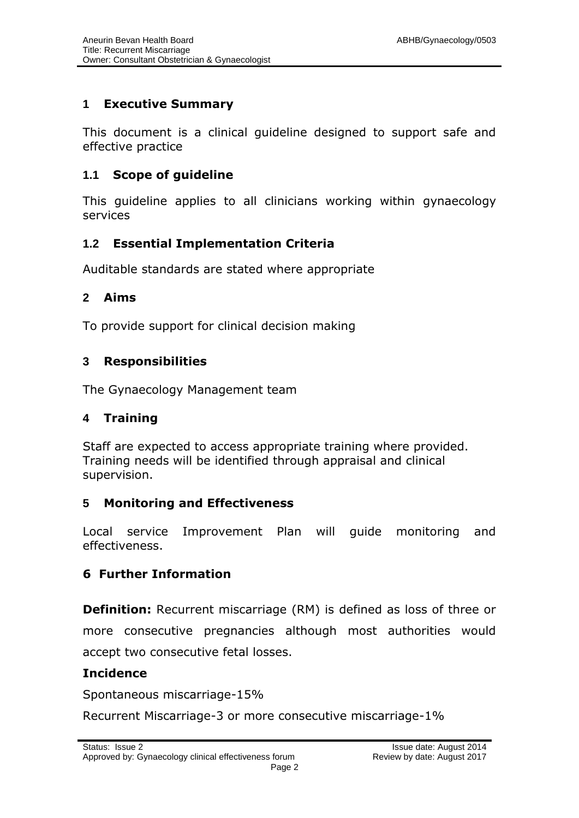### **1 Executive Summary**

This document is a clinical guideline designed to support safe and effective practice

### **1.1 Scope of guideline**

This guideline applies to all clinicians working within gynaecology services

### **1.2 Essential Implementation Criteria**

Auditable standards are stated where appropriate

### **2 Aims**

To provide support for clinical decision making

### **3 Responsibilities**

The Gynaecology Management team

### **4 Training**

Staff are expected to access appropriate training where provided. Training needs will be identified through appraisal and clinical supervision.

### **5 Monitoring and Effectiveness**

Local service Improvement Plan will guide monitoring and effectiveness.

### **6 Further Information**

**Definition:** Recurrent miscarriage (RM) is defined as loss of three or more consecutive pregnancies although most authorities would accept two consecutive fetal losses.

### **Incidence**

Spontaneous miscarriage-15%

Recurrent Miscarriage-3 or more consecutive miscarriage-1%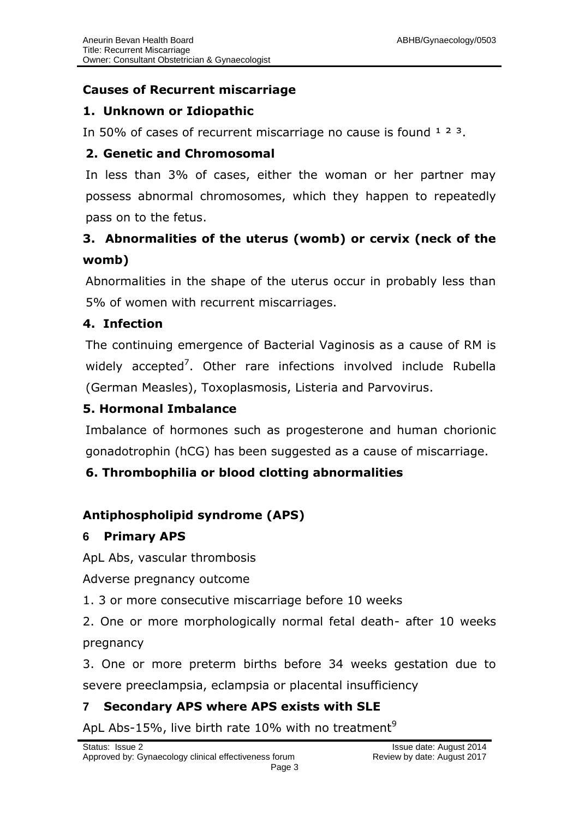# **Causes of Recurrent miscarriage**

# **1. Unknown or Idiopathic**

In 50% of cases of recurrent miscarriage no cause is found  $123$ .

# **2. Genetic and Chromosomal**

In less than 3% of cases, either the woman or her partner may possess abnormal chromosomes, which they happen to repeatedly pass on to the fetus.

# **3. Abnormalities of the uterus (womb) or cervix (neck of the womb)**

Abnormalities in the shape of the uterus occur in probably less than 5% of women with recurrent miscarriages.

# **4. Infection**

The continuing emergence of Bacterial Vaginosis as a cause of RM is widely accepted<sup>7</sup>. Other rare infections involved include Rubella (German Measles), Toxoplasmosis, Listeria and Parvovirus.

# **5. Hormonal Imbalance**

Imbalance of hormones such as progesterone and human chorionic gonadotrophin (hCG) has been suggested as a cause of miscarriage.

# **6. Thrombophilia or blood clotting abnormalities**

# **Antiphospholipid syndrome (APS)**

### **6 Primary APS**

ApL Abs, vascular thrombosis

Adverse pregnancy outcome

1. 3 or more consecutive miscarriage before 10 weeks

2. One or more morphologically normal fetal death- after 10 weeks pregnancy

3. One or more preterm births before 34 weeks gestation due to severe preeclampsia, eclampsia or placental insufficiency

# **7 Secondary APS where APS exists with SLE**

ApL Abs-15%, live birth rate 10% with no treatment<sup>9</sup>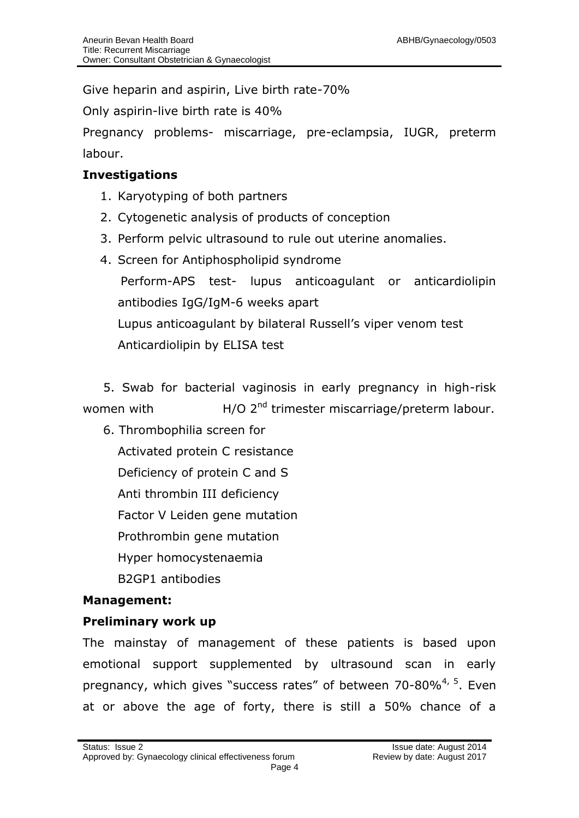Give heparin and aspirin, Live birth rate-70%

Only aspirin-live birth rate is 40%

Pregnancy problems- miscarriage, pre-eclampsia, IUGR, preterm labour.

### **Investigations**

- 1. Karyotyping of both partners
- 2. Cytogenetic analysis of products of conception
- 3. Perform pelvic ultrasound to rule out uterine anomalies.
- 4. Screen for Antiphospholipid syndrome Perform-APS test- lupus anticoagulant or anticardiolipin antibodies IgG/IgM-6 weeks apart Lupus anticoagulant by bilateral Russell's viper venom test Anticardiolipin by ELISA test

 5. Swab for bacterial vaginosis in early pregnancy in high-risk women with  $H/O$   $2<sup>nd</sup>$  trimester miscarriage/preterm labour.

 6. Thrombophilia screen for Activated protein C resistance Deficiency of protein C and S Anti thrombin III deficiency Factor V Leiden gene mutation Prothrombin gene mutation Hyper homocystenaemia B2GP1 antibodies

### **Management:**

### **Preliminary work up**

The mainstay of management of these patients is based upon emotional support supplemented by ultrasound scan in early pregnancy, which gives "success rates" of between 70-80%<sup>4, 5</sup>. Even at or above the age of forty, there is still a 50% chance of a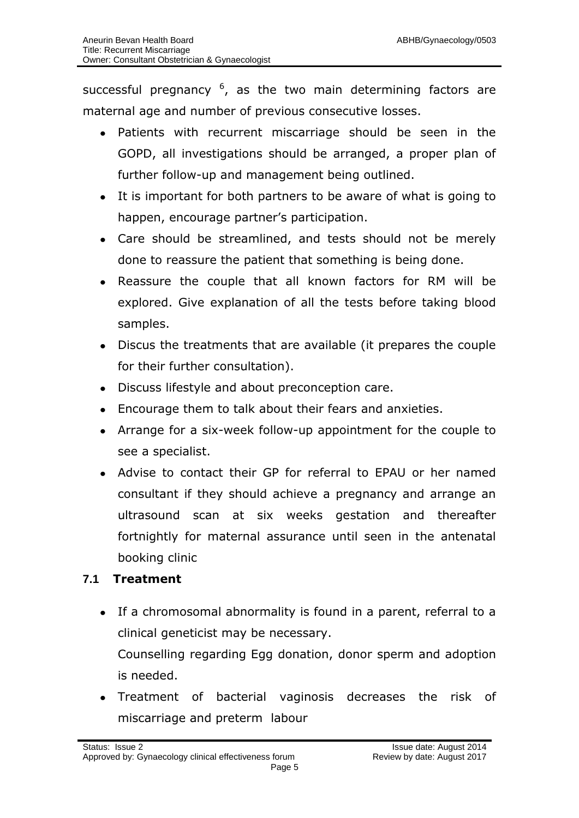successful pregnancy  $6$ , as the two main determining factors are maternal age and number of previous consecutive losses.

- Patients with recurrent miscarriage should be seen in the GOPD, all investigations should be arranged, a proper plan of further follow-up and management being outlined.
- It is important for both partners to be aware of what is going to happen, encourage partner's participation.
- Care should be streamlined, and tests should not be merely done to reassure the patient that something is being done.
- Reassure the couple that all known factors for RM will be explored. Give explanation of all the tests before taking blood samples.
- Discus the treatments that are available (it prepares the couple for their further consultation).
- Discuss lifestyle and about preconception care.
- Encourage them to talk about their fears and anxieties.
- Arrange for a six-week follow-up appointment for the couple to see a specialist.
- Advise to contact their GP for referral to EPAU or her named consultant if they should achieve a pregnancy and arrange an ultrasound scan at six weeks gestation and thereafter fortnightly for maternal assurance until seen in the antenatal booking clinic

# **7.1 Treatment**

- If a chromosomal abnormality is found in a parent, referral to a clinical geneticist may be necessary. Counselling regarding Egg donation, donor sperm and adoption is needed.
- Treatment of bacterial vaginosis decreases the risk of miscarriage and preterm labour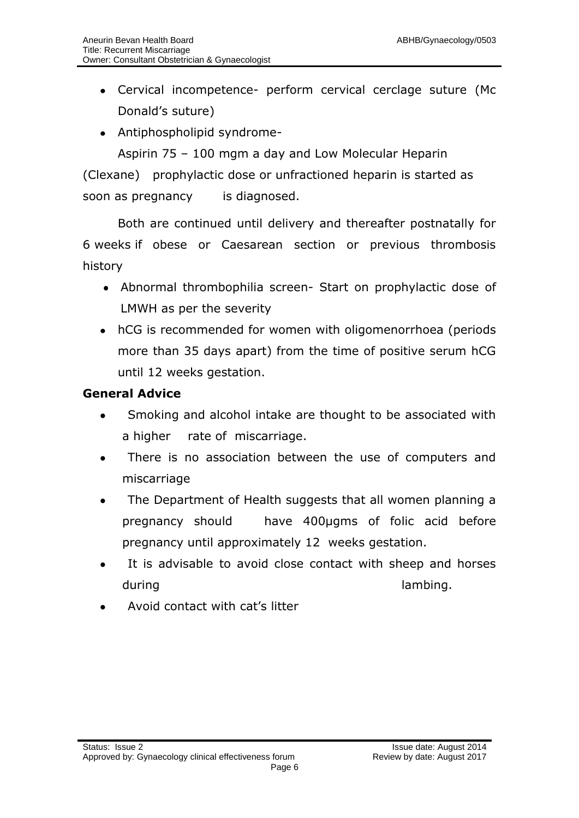- Cervical incompetence- perform cervical cerclage suture (Mc Donald's suture)
- Antiphospholipid syndrome-

Aspirin 75 – 100 mgm a day and Low Molecular Heparin (Clexane) prophylactic dose or unfractioned heparin is started as soon as pregnancy is diagnosed.

Both are continued until delivery and thereafter postnatally for 6 weeks if obese or Caesarean section or previous thrombosis history

- Abnormal thrombophilia screen- Start on prophylactic dose of LMWH as per the severity
- hCG is recommended for women with oligomenorrhoea (periods more than 35 days apart) from the time of positive serum hCG until 12 weeks gestation.

### **General Advice**

- Smoking and alcohol intake are thought to be associated with a higher rate of miscarriage.
- There is no association between the use of computers and miscarriage
- The Department of Health suggests that all women planning a pregnancy should have 400µgms of folic acid before pregnancy until approximately 12 weeks gestation.
- It is advisable to avoid close contact with sheep and horses during during and the contract of the lambing.
- Avoid contact with cat's litter